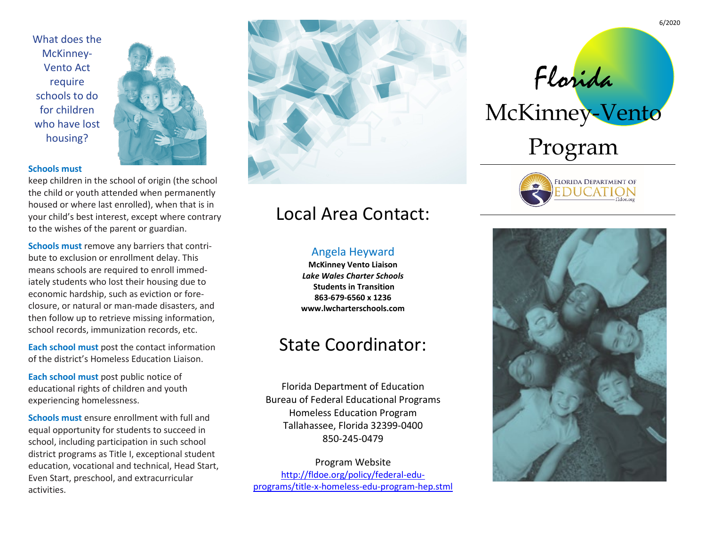What does the McKinney-Vento Act require schools to do for children who have lost housing?



#### **Schools must**

keep children in the school of origin (the school the child or youth attended when permanently housed or where last enrolled), when that is in your child's best interest, except where contrary to the wishes of the parent or guardian.

**Schools must** remove any barriers that contribute to exclusion or enrollment delay. This means schools are required to enroll immediately students who lost their housing due to economic hardship, such as eviction or foreclosure, or natural or man-made disasters, and then follow up to retrieve missing information, school records, immunization records, etc.

**Each school must** post the contact information of the district's Homeless Education Liaison.

**Each school must** post public notice of educational rights of children and youth experiencing homelessness.

**Schools must** ensure enrollment with full and equal opportunity for students to succeed in school, including participation in such school district programs as Title I, exceptional student education, vocational and technical, Head Start, Even Start, preschool, and extracurricular activities.



# Local Area Contact:

### Angela Heyward

**McKinney Vento Liaison** *Lake Wales Charter Schools*  **Students in Transition 863-679-6560 x 1236 www.lwcharterschools.com**

## State Coordinator:

Florida Department of Education Bureau of Federal Educational Programs Homeless Education Program Tallahassee, Florida 32399-0400 850-245-0479

Program Website [http://fldoe.org/policy/federal-edu](http://fldoe.org/policy/federal-edu-programs/title-x-homeless-edu-program-hep.stml)[programs/title-x-homeless-edu-program-hep.stml](http://fldoe.org/policy/federal-edu-programs/title-x-homeless-edu-program-hep.stml)

Florida McKinney-Vento Program